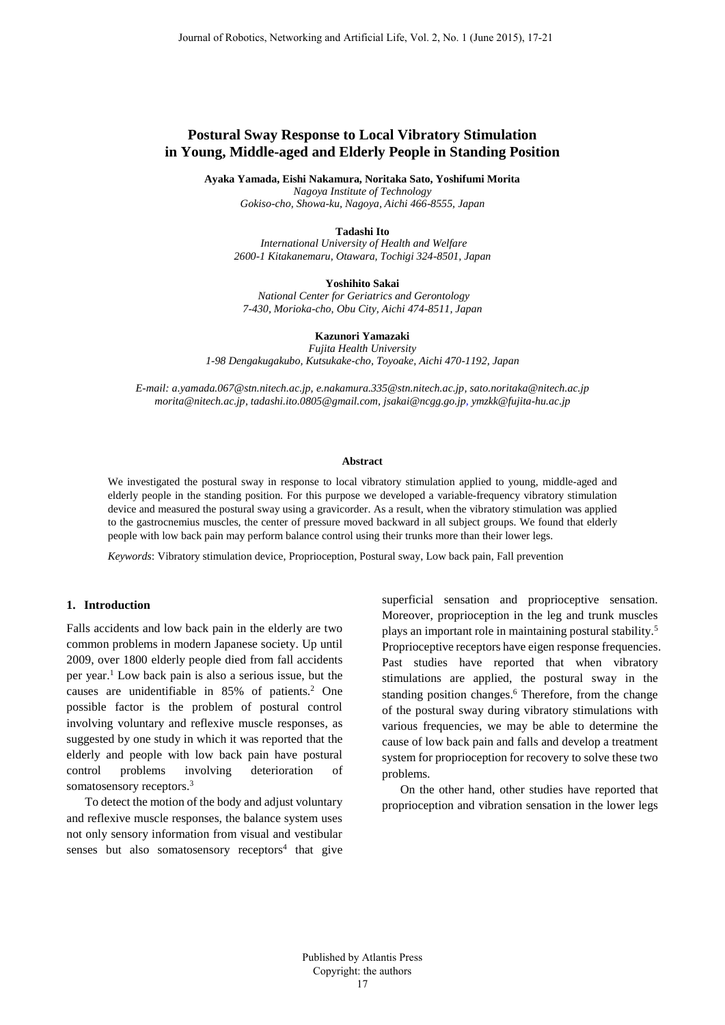# **Postural Sway Response to Local Vibratory Stimulation in Young, Middle-aged and Elderly People in Standing Position**

**Ayaka Yamada, Eishi Nakamura, Noritaka Sato, Yoshifumi Morita** 

*Nagoya Institute of Technology Gokiso-cho, Showa-ku, Nagoya, Aichi 466-8555, Japan*

#### **Tadashi Ito**

 *International University of Health and Welfare 2600-1 Kitakanemaru, Otawara, Tochigi 324-8501, Japan* 

#### **Yoshihito Sakai**

 *National Center for Geriatrics and Gerontology 7-430, Morioka-cho, Obu City, Aichi 474-8511, Japan*

#### **Kazunori Yamazaki**

*Fujita Health University 1-98 Dengakugakubo, Kutsukake-cho, Toyoake, Aichi 470-1192, Japan* 

*E-mail: a.yamada.067@stn.nitech.ac.jp, e.nakamura.335@stn.nitech.ac.jp, sato.noritaka@nitech.ac.jp morita@nitech.ac.jp, tadashi.ito.0805@gmail.com, jsakai@ncgg.go.jp, ymzkk@fujita-hu.ac.jp*

#### **Abstract**

We investigated the postural sway in response to local vibratory stimulation applied to young, middle-aged and elderly people in the standing position. For this purpose we developed a variable-frequency vibratory stimulation device and measured the postural sway using a gravicorder. As a result, when the vibratory stimulation was applied to the gastrocnemius muscles, the center of pressure moved backward in all subject groups. We found that elderly people with low back pain may perform balance control using their trunks more than their lower legs.

*Keywords*: Vibratory stimulation device, Proprioception, Postural sway, Low back pain, Fall prevention

# **1. Introduction**

Falls accidents and low back pain in the elderly are two common problems in modern Japanese society. Up until 2009, over 1800 elderly people died from fall accidents per year.<sup>1</sup> Low back pain is also a serious issue, but the causes are unidentifiable in 85% of patients.<sup>2</sup> One possible factor is the problem of postural control involving voluntary and reflexive muscle responses, as suggested by one study in which it was reported that the elderly and people with low back pain have postural control problems involving deterioration of somatosensory receptors.<sup>3</sup>

To detect the motion of the body and adjust voluntary and reflexive muscle responses, the balance system uses not only sensory information from visual and vestibular senses but also somatosensory receptors $4$  that give superficial sensation and proprioceptive sensation. Moreover, proprioception in the leg and trunk muscles plays an important role in maintaining postural stability.<sup>5</sup> Proprioceptive receptors have eigen response frequencies. Past studies have reported that when vibratory stimulations are applied, the postural sway in the standing position changes.<sup>6</sup> Therefore, from the change of the postural sway during vibratory stimulations with various frequencies, we may be able to determine the cause of low back pain and falls and develop a treatment system for proprioception for recovery to solve these two problems.

On the other hand, other studies have reported that proprioception and vibration sensation in the lower legs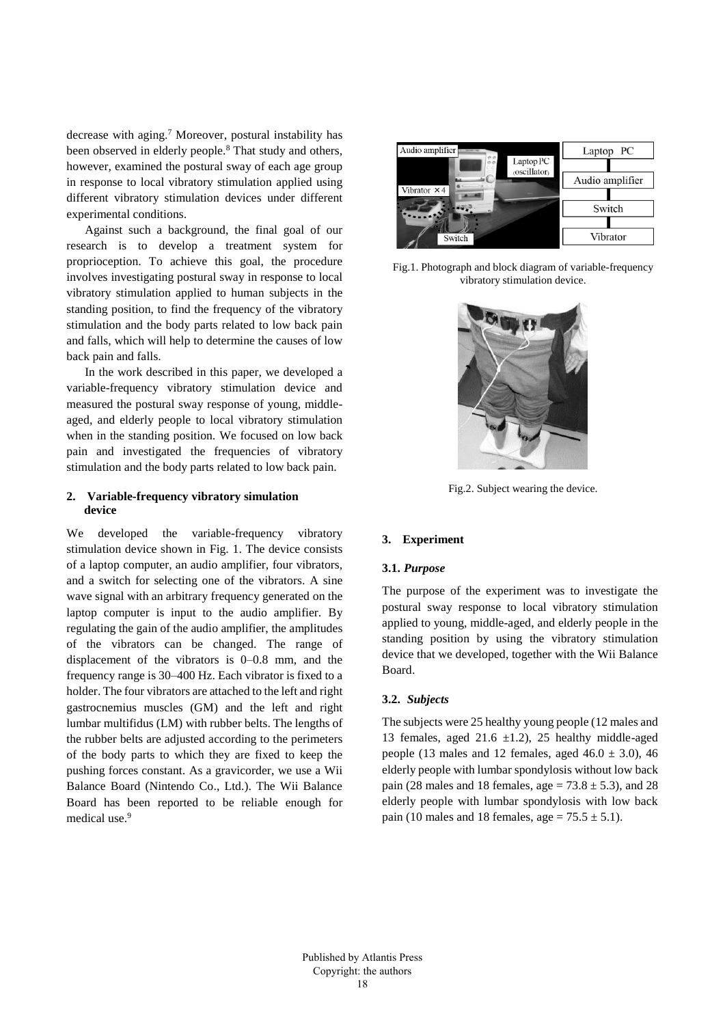decrease with aging.<sup>7</sup> Moreover, postural instability has been observed in elderly people.<sup>8</sup> That study and others, however, examined the postural sway of each age group in response to local vibratory stimulation applied using different vibratory stimulation devices under different experimental conditions.

Against such a background, the final goal of our research is to develop a treatment system for proprioception. To achieve this goal, the procedure involves investigating postural sway in response to local vibratory stimulation applied to human subjects in the standing position, to find the frequency of the vibratory stimulation and the body parts related to low back pain and falls, which will help to determine the causes of low back pain and falls.

In the work described in this paper, we developed a variable-frequency vibratory stimulation device and measured the postural sway response of young, middleaged, and elderly people to local vibratory stimulation when in the standing position. We focused on low back pain and investigated the frequencies of vibratory stimulation and the body parts related to low back pain.

# **2. Variable-frequency vibratory simulation device**

We developed the variable-frequency vibratory stimulation device shown in Fig. 1. The device consists of a laptop computer, an audio amplifier, four vibrators, and a switch for selecting one of the vibrators. A sine wave signal with an arbitrary frequency generated on the laptop computer is input to the audio amplifier. By regulating the gain of the audio amplifier, the amplitudes of the vibrators can be changed. The range of displacement of the vibrators is 0–0.8 mm, and the frequency range is 30–400 Hz. Each vibrator is fixed to a holder. The four vibrators are attached to the left and right gastrocnemius muscles (GM) and the left and right lumbar multifidus (LM) with rubber belts. The lengths of the rubber belts are adjusted according to the perimeters of the body parts to which they are fixed to keep the pushing forces constant. As a gravicorder, we use a Wii Balance Board (Nintendo Co., Ltd.). The Wii Balance Board has been reported to be reliable enough for medical use.<sup>9</sup>



Fig.1. Photograph and block diagram of variable-frequency vibratory stimulation device.



Fig.2. Subject wearing the device.

# **3. Experiment**

## **3.1.** *Purpose*

The purpose of the experiment was to investigate the postural sway response to local vibratory stimulation applied to young, middle-aged, and elderly people in the standing position by using the vibratory stimulation device that we developed, together with the Wii Balance Board.

### **3.2.** *Subjects*

The subjects were 25 healthy young people (12 males and 13 females, aged 21.6  $\pm$ 1.2), 25 healthy middle-aged people (13 males and 12 females, aged  $46.0 \pm 3.0$ ),  $46$ elderly people with lumbar spondylosis without low back pain (28 males and 18 females, age =  $73.8 \pm 5.3$ ), and 28 elderly people with lumbar spondylosis with low back pain (10 males and 18 females, age =  $75.5 \pm 5.1$ ).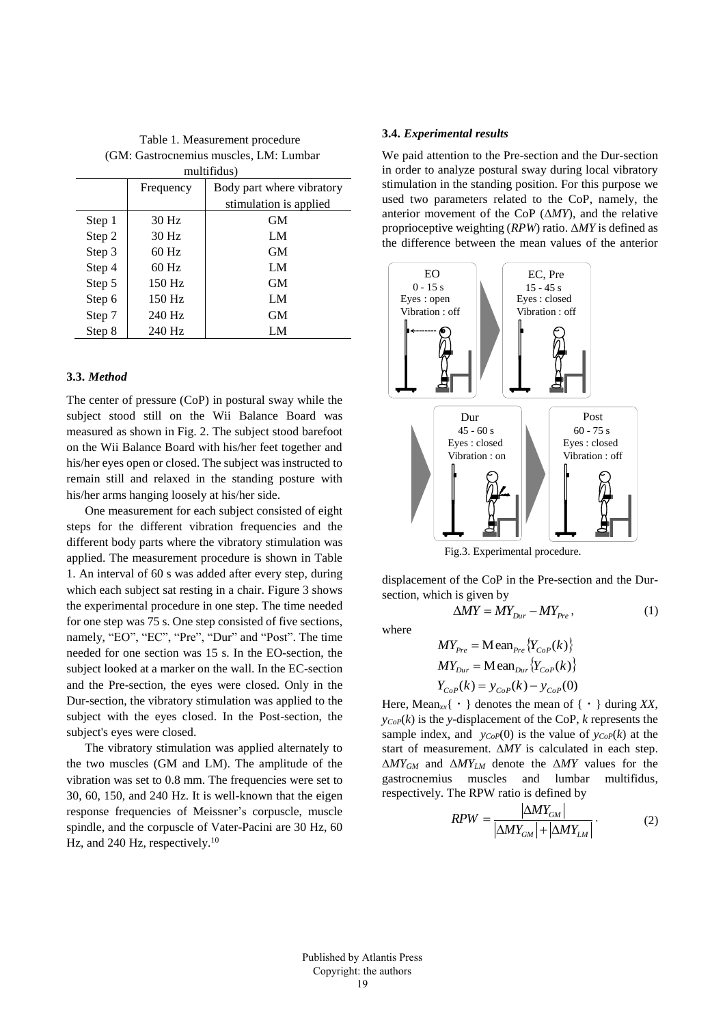Table 1. Measurement procedure (GM: Gastrocnemius muscles, LM: Lumbar multifidus)

| $\mu$ $\mu$ $\mu$ $\mu$ $\mu$ $\mu$ $\mu$ |           |                           |
|-------------------------------------------|-----------|---------------------------|
|                                           | Frequency | Body part where vibratory |
|                                           |           | stimulation is applied    |
| Step 1                                    | 30 Hz     | <b>GM</b>                 |
| Step 2                                    | 30 Hz     | LM                        |
| Step 3                                    | $60$ Hz   | <b>GM</b>                 |
| Step 4                                    | 60 Hz     | LM                        |
| Step 5                                    | 150 Hz    | <b>GM</b>                 |
| Step 6                                    | 150 Hz    | LM                        |
| Step 7                                    | 240 Hz    | <b>GM</b>                 |
| Step 8                                    | 240 Hz    | LM                        |

### **3.3.** *Method*

The center of pressure (CoP) in postural sway while the subject stood still on the Wii Balance Board was measured as shown in Fig. 2. The subject stood barefoot on the Wii Balance Board with his/her feet together and his/her eyes open or closed. The subject was instructed to remain still and relaxed in the standing posture with his/her arms hanging loosely at his/her side.

One measurement for each subject consisted of eight steps for the different vibration frequencies and the different body parts where the vibratory stimulation was applied. The measurement procedure is shown in Table 1. An interval of 60 s was added after every step, during which each subject sat resting in a chair. Figure 3 shows the experimental procedure in one step. The time needed for one step was 75 s. One step consisted of five sections, namely, "EO", "EC", "Pre", "Dur" and "Post". The time needed for one section was 15 s. In the EO-section, the subject looked at a marker on the wall. In the EC-section and the Pre-section, the eyes were closed. Only in the Dur-section, the vibratory stimulation was applied to the subject with the eyes closed. In the Post-section, the subject's eyes were closed.

The vibratory stimulation was applied alternately to the two muscles (GM and LM). The amplitude of the vibration was set to 0.8 mm. The frequencies were set to 30, 60, 150, and 240 Hz. It is well-known that the eigen response frequencies of Meissner's corpuscle, muscle spindle, and the corpuscle of Vater-Pacini are 30 Hz, 60 Hz, and 240 Hz, respectively. $10$ 

## **3.4.** *Experimental results*

We paid attention to the Pre-section and the Dur-section in order to analyze postural sway during local vibratory stimulation in the standing position. For this purpose we used two parameters related to the CoP, namely, the anterior movement of the CoP  $(\Delta MY)$ , and the relative proprioceptive weighting (*RPW*) ratio. Δ*MY* is defined as the difference between the mean values of the anterior



Fig.3. Experimental procedure.

displacement of the CoP in the Pre-section and the Dursection, which is given by

 $(1)$ 

 $\Delta MY = MY_{\text{Dir}} - MY_{\text{Pre}}$ 

where

$$
MY_{Pre} = \text{Mean}_{Pre} \{Y_{CoP}(k)\}
$$
  
\n
$$
MY_{Dur} = \text{Mean}_{Dur} \{Y_{CoP}(k)\}
$$
  
\n
$$
Y_{CoP}(k) = y_{CoP}(k) - y_{CoP}(0)
$$

Here, Mean<sub>*xx*</sub>{  $\cdot$  } denotes the mean of {  $\cdot$  } during *XX*,  $y_{CoP}(k)$  is the *y*-displacement of the CoP, *k* represents the sample index, and  $y_{CoP}(0)$  is the value of  $y_{CoP}(k)$  at the start of measurement. *MY* is calculated in each step. *MYGM* and Δ*MYLM* denote the Δ*MY* values for the gastrocnemius muscles and lumbar multifidus, respectively. The RPW ratio is defined by

$$
RPW = \frac{|\Delta MY_{GM}|}{|\Delta MY_{GM}| + |\Delta MY_{LM}|}. \tag{2}
$$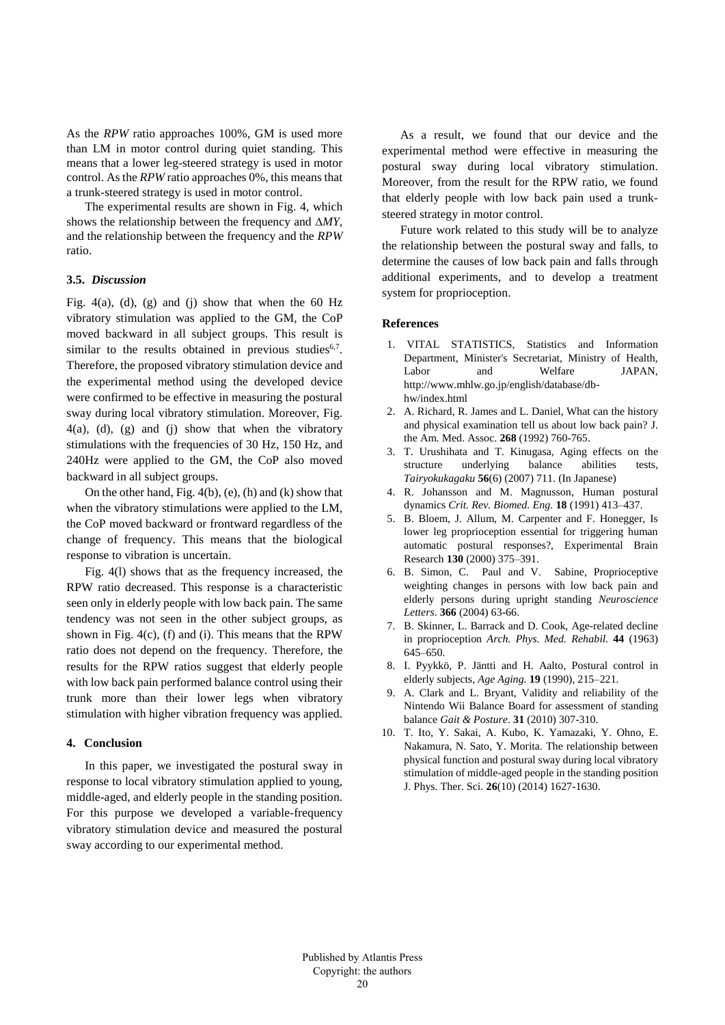As the *RPW* ratio approaches 100%, GM is used more than LM in motor control during quiet standing. This means that a lower leg-steered strategy is used in motor control. As the *RPW* ratio approaches 0%, this means that a trunk-steered strategy is used in motor control.

The experimental results are shown in Fig. 4, which shows the relationship between the frequency and *MY*, and the relationship between the frequency and the *RPW* ratio.

### **3.5.** *Discussion*

Fig.  $4(a)$ ,  $(d)$ ,  $(g)$  and  $(j)$  show that when the 60 Hz vibratory stimulation was applied to the GM, the CoP moved backward in all subject groups. This result is similar to the results obtained in previous studies<sup>6,7</sup>. Therefore, the proposed vibratory stimulation device and the experimental method using the developed device were confirmed to be effective in measuring the postural sway during local vibratory stimulation. Moreover, Fig. 4(a), (d), (g) and (j) show that when the vibratory stimulations with the frequencies of 30 Hz, 150 Hz, and 240Hz were applied to the GM, the CoP also moved backward in all subject groups.

On the other hand, Fig. 4(b), (e), (h) and (k) show that when the vibratory stimulations were applied to the LM, the CoP moved backward or frontward regardless of the change of frequency. This means that the biological response to vibration is uncertain.

Fig. 4(l) shows that as the frequency increased, the RPW ratio decreased. This response is a characteristic seen only in elderly people with low back pain. The same tendency was not seen in the other subject groups, as shown in Fig. 4(c), (f) and (i). This means that the RPW ratio does not depend on the frequency. Therefore, the results for the RPW ratios suggest that elderly people with low back pain performed balance control using their trunk more than their lower legs when vibratory stimulation with higher vibration frequency was applied.

# **4. Conclusion**

In this paper, we investigated the postural sway in response to local vibratory stimulation applied to young, middle-aged, and elderly people in the standing position. For this purpose we developed a variable-frequency vibratory stimulation device and measured the postural sway according to our experimental method.

As a result, we found that our device and the experimental method were effective in measuring the postural sway during local vibratory stimulation. Moreover, from the result for the RPW ratio, we found that elderly people with low back pain used a trunksteered strategy in motor control.

Future work related to this study will be to analyze the relationship between the postural sway and falls, to determine the causes of low back pain and falls through additional experiments, and to develop a treatment system for proprioception.

#### **References**

- 1. VITAL STATISTICS, Statistics and Information Department, Minister's Secretariat, Ministry of Health, Labor and Welfare JAPAN, http://www.mhlw.go.jp/english/database/dbhw/index.html
- 2. A. Richard, R. James and L. Daniel, What can the history and physical examination tell us about low back pain? J. the Am. Med. Assoc. **268** (1992) 760-765.
- 3. T. Urushihata and T. Kinugasa, Aging effects on the structure underlying balance abilities tests, *Tairyokukagaku* **56**(6) (2007) 711. (In Japanese)
- 4. R. Johansson and M. Magnusson, Human postural dynamics *Crit. Rev. Biomed. Eng.* **18** (1991) 413–437.
- 5. B. Bloem, J. Allum, M. Carpenter and F. Honegger, Is lower leg proprioception essential for triggering human automatic postural responses?, Experimental Brain Research **130** (2000) 375–391.
- 6. B. Simon, C. Paul and V. Sabine, Proprioceptive weighting changes in persons with low back pain and elderly persons during upright standing *Neuroscience Letters*. **366** (2004) 63-66.
- 7. B. Skinner, L. Barrack and D. Cook, Age-related decline in proprioception *Arch. Phys. Med. Rehabil.* **44** (1963) 645–650.
- 8. I. Pyykkö, P. Jäntti and H. Aalto, Postural control in elderly subjects, *Age Aging.* **19** (1990), 215–221.
- 9. A. Clark and L. Bryant, Validity and reliability of the Nintendo Wii Balance Board for assessment of standing balance *Gait & Posture*. **31** (2010) 307-310.
- 10. T. Ito, Y. Sakai, A. Kubo, K. Yamazaki, Y. Ohno, E. Nakamura, N. Sato, Y. Morita. The relationship between physical function and postural sway during local vibratory stimulation of middle-aged people in the standing position J. Phys. Ther. Sci. **26**(10) (2014) 1627-1630.